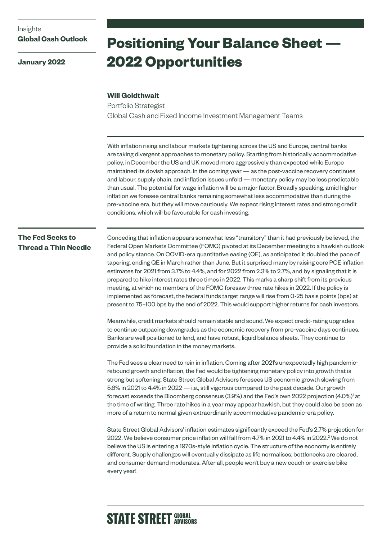**January 2022**

# **Positioning Your Balance Sheet — 2022 Opportunities**

#### **Will Goldthwait**

Portfolio Strategist Global Cash and Fixed Income Investment Management Teams

With inflation rising and labour markets tightening across the US and Europe, central banks are taking divergent approaches to monetary policy. Starting from historically accommodative policy, in December the US and UK moved more aggressively than expected while Europe maintained its dovish approach. In the coming year — as the post-vaccine recovery continues and labour, supply chain, and inflation issues unfold — monetary policy may be less predictable than usual. The potential for wage inflation will be a major factor. Broadly speaking, amid higher inflation we foresee central banks remaining somewhat less accommodative than during the pre-vaccine era, but they will move cautiously. We expect rising interest rates and strong credit conditions, which will be favourable for cash investing.

## **The Fed Seeks to Thread a Thin Needle**

Conceding that inflation appears somewhat less "transitory" than it had previously believed, the Federal Open Markets Committee (FOMC) pivoted at its December meeting to a hawkish outlook and policy stance. On COVID-era quantitative easing (QE), as anticipated it doubled the pace of tapering, ending QE in March rather than June. But it surprised many by raising core PCE inflation estimates for 2021 from 3.7% to 4.4%, and for 2022 from 2.3% to 2.7%, and by signaling that it is prepared to hike interest rates three times in 2022. This marks a sharp shift from its previous meeting, at which no members of the FOMC foresaw three rate hikes in 2022. If the policy is implemented as forecast, the federal funds target range will rise from 0-25 basis points (bps) at present to 75–100 bps by the end of 2022. This would support higher returns for cash investors.

Meanwhile, credit markets should remain stable and sound. We expect credit-rating upgrades to continue outpacing downgrades as the economic recovery from pre-vaccine days continues. Banks are well positioned to lend, and have robust, liquid balance sheets. They continue to provide a solid foundation in the money markets.

The Fed sees a clear need to rein in inflation. Coming after 2021's unexpectedly high pandemicrebound growth and inflation, the Fed would be tightening monetary policy into growth that is strong but softening. State Street Global Advisors foresees US economic growth slowing from 5.6% in 2021 to 4.4% in 2022 — i.e., still vigorous compared to the past decade. Our growth forecast exceeds the Bloomberg consensus (3.9%) and the Fed's own 2022 projection  $(4.0\%)^{\dagger}$  at the time of writing. Three rate hikes in a year may appear hawkish, but they could also be seen as more of a return to normal given extraordinarily accommodative pandemic-era policy.

State Street Global Advisors' inflation estimates significantly exceed the Fed's 2.7% projection for 2022. We believe consumer price inflation will fall from 4.7% in 2021 to 4.4% in 2022.<sup>2</sup> We do not believe the US is entering a 1970s-style inflation cycle. The structure of the economy is entirely different. Supply challenges will eventually dissipate as life normalises, bottlenecks are cleared, and consumer demand moderates. After all, people won't buy a new couch or exercise bike every year!

# **STATE STREET GLOBAL**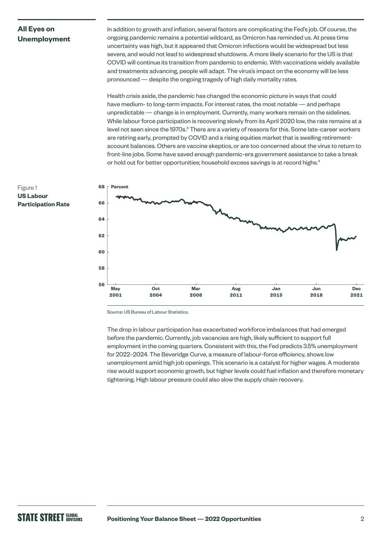### **All Eyes on Unemployment**

In addition to growth and inflation, several factors are complicating the Fed's job. Of course, the ongoing pandemic remains a potential wildcard, as Omicron has reminded us. At press time uncertainty was high, but it appeared that Omicron infections would be widespread but less severe, and would not lead to widespread shutdowns. A more likely scenario for the US is that COVID will continue its transition from pandemic to endemic. With vaccinations widely available and treatments advancing, people will adapt. The virus's impact on the economy will be less pronounced — despite the ongoing tragedy of high daily mortality rates.

Health crisis aside, the pandemic has changed the economic picture in ways that could have medium- to long-term impacts. For interest rates, the most notable — and perhaps unpredictable — change is in employment. Currently, many workers remain on the sidelines. While labour force participation is recovering slowly from its April 2020 low, the rate remains at a level not seen since the 1970s. $^3$  There are a variety of reasons for this. Some late-career workers are retiring early, prompted by COVID and a rising equities market that is swelling retirementaccount balances. Others are vaccine skeptics, or are too concerned about the virus to return to front-line jobs. Some have saved enough pandemic-era government assistance to take a break or hold out for better opportunities; household excess savings is at record highs.<sup>4</sup>



Source: US Bureau of Labour Statistics.

The drop in labour participation has exacerbated workforce imbalances that had emerged before the pandemic. Currently, job vacancies are high, likely sufficient to support full employment in the coming quarters. Consistent with this, the Fed predicts 3.5% unemployment for 2022–2024. The Beveridge Curve, a measure of labour-force efficiency, shows low unemployment amid high job openings. This scenario is a catalyst for higher wages. A moderate rise would support economic growth, but higher levels could fuel inflation and therefore monetary tightening. High labour pressure could also slow the supply chain recovery.

#### Figure 1 **US Labour Participation Rate**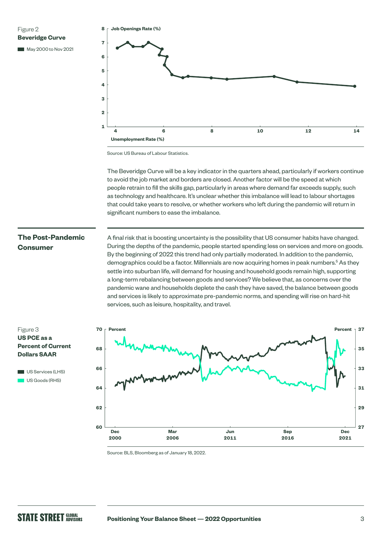Figure 2 **Beveridge Curve** 

May 2000 to Nov 2021



Source: US Bureau of Labour Statistics.

The Beveridge Curve will be a key indicator in the quarters ahead, particularly if workers continue to avoid the job market and borders are closed. Another factor will be the speed at which people retrain to fill the skills gap, particularly in areas where demand far exceeds supply, such as technology and healthcare. It's unclear whether this imbalance will lead to labour shortages that could take years to resolve, or whether workers who left during the pandemic will return in significant numbers to ease the imbalance.

### **The Post-Pandemic Consumer**

A final risk that is boosting uncertainty is the possibility that US consumer habits have changed. During the depths of the pandemic, people started spending less on services and more on goods. By the beginning of 2022 this trend had only partially moderated. In addition to the pandemic, demographics could be a factor. Millennials are now acquiring homes in peak numbers.<sup>5</sup> As they settle into suburban life, will demand for housing and household goods remain high, supporting a long-term rebalancing between goods and services? We believe that, as concerns over the pandemic wane and households deplete the cash they have saved, the balance between goods and services is likely to approximate pre-pandemic norms, and spending will rise on hard-hit services, such as leisure, hospitality, and travel.

#### Figure 3 **US PCE as a Percent of Current Dollars SAAR**





Source: BLS, Bloomberg as of January 18, 2022.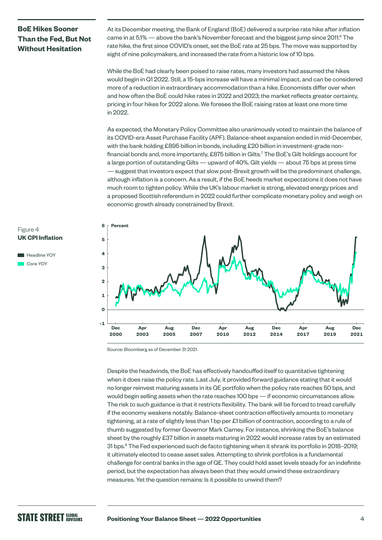# **BoE Hikes Sooner Than the Fed, But Not Without Hesitation**

At its December meeting, the Bank of England (BoE) delivered a surprise rate hike after inflation came in at  $5.1\%$  — above the bank's November forecast and the biggest jump since  $2011$ .<sup>6</sup> The rate hike, the first since COVID's onset, set the BoE rate at 25 bps. The move was supported by eight of nine policymakers, and increased the rate from a historic low of 10 bps.

While the BoE had clearly been poised to raise rates, many investors had assumed the hikes would begin in Q1 2022. Still, a 15-bps increase will have a minimal impact, and can be considered more of a reduction in extraordinary accommodation than a hike. Economists differ over when and how often the BoE could hike rates in 2022 and 2023; the market reflects greater certainty, pricing in four hikes for 2022 alone. We foresee the BoE raising rates at least one more time in 2022.

As expected, the Monetary Policy Committee also unanimously voted to maintain the balance of its COVID-era Asset Purchase Facility (APF). Balance-sheet expansion ended in mid-December, with the bank holding £895 billion in bonds, including £20 billion in investment-grade nonfinancial bonds and, more importantly, £875 billion in Gilts.7 The BoE's Gilt holdings account for a large portion of outstanding Gilts — upward of 40%. Gilt yields — about 75 bps at press time — suggest that investors expect that slow post-Brexit growth will be the predominant challenge, although inflation is a concern. As a result, if the BoE heeds market expectations it does not have much room to tighten policy. While the UK's labour market is strong, elevated energy prices and a proposed Scottish referendum in 2022 could further complicate monetary policy and weigh on economic growth already constrained by Brexit.



```
Headline YOY
Core YOY
```


Source: Bloomberg as of December 31 2021.

Despite the headwinds, the BoE has effectively handcuffed itself to quantitative tightening when it does raise the policy rate. Last July, it provided forward guidance stating that it would no longer reinvest maturing assets in its QE portfolio when the policy rate reaches 50 bps, and would begin selling assets when the rate reaches 100 bps — if economic circumstances allow. The risk to such guidance is that it restricts flexibility. The bank will be forced to tread carefully if the economy weakens notably. Balance-sheet contraction effectively amounts to monetary tightening, at a rate of slightly less than 1 bp per £1 billion of contraction, according to a rule of thumb suggested by former Governor Mark Carney. For instance, shrinking the BoE's balance sheet by the roughly £37 billion in assets maturing in 2022 would increase rates by an estimated 31 bps.<sup>8</sup> The Fed experienced such de facto tightening when it shrank its portfolio in 2018-2019; it ultimately elected to cease asset sales. Attempting to shrink portfolios is a fundamental challenge for central banks in the age of QE. They could hold asset levels steady for an indefinite period, but the expectation has always been that they would unwind these extraordinary measures. Yet the question remains: Is it possible to unwind them?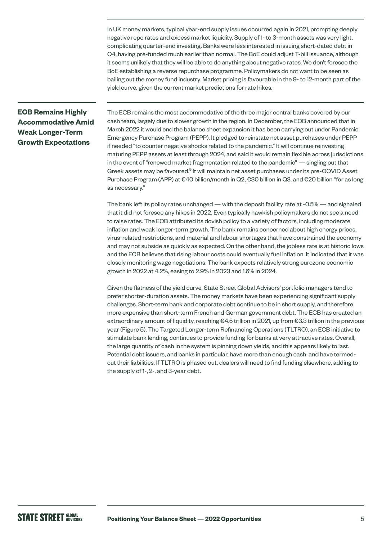In UK money markets, typical year-end supply issues occurred again in 2021, prompting deeply negative repo rates and excess market liquidity. Supply of 1- to 3-month assets was very light, complicating quarter-end investing. Banks were less interested in issuing short-dated debt in Q4, having pre-funded much earlier than normal. The BoE could adjust T-bill issuance, although it seems unlikely that they will be able to do anything about negative rates. We don't foresee the BoE establishing a reverse repurchase programme. Policymakers do not want to be seen as bailing out the money fund industry. Market pricing is favourable in the 9- to 12-month part of the yield curve, given the current market predictions for rate hikes.

# **ECB Remains Highly Accommodative Amid Weak Longer-Term Growth Expectations**

The ECB remains the most accommodative of the three major central banks covered by our cash team, largely due to slower growth in the region. In December, the ECB announced that in March 2022 it would end the balance sheet expansion it has been carrying out under Pandemic Emergency Purchase Program (PEPP). It pledged to reinstate net asset purchases under PEPP if needed "to counter negative shocks related to the pandemic." It will continue reinvesting maturing PEPP assets at least through 2024, and said it would remain flexible across jurisdictions in the event of "renewed market fragmentation related to the pandemic" — singling out that Greek assets may be favoured.<sup>9</sup> It will maintain net asset purchases under its pre-COVID Asset Purchase Program (APP) at €40 billion/month in Q2, €30 billion in Q3, and €20 billion "for as long as necessary."

The bank left its policy rates unchanged — with the deposit facility rate at -0.5% — and signaled that it did not foresee any hikes in 2022. Even typically hawkish policymakers do not see a need to raise rates. The ECB attributed its dovish policy to a variety of factors, including moderate inflation and weak longer-term growth. The bank remains concerned about high energy prices, virus-related restrictions, and material and labour shortages that have constrained the economy and may not subside as quickly as expected. On the other hand, the jobless rate is at historic lows and the ECB believes that rising labour costs could eventually fuel inflation. It indicated that it was closely monitoring wage negotiations. The bank expects relatively strong eurozone economic growth in 2022 at 4.2%, easing to 2.9% in 2023 and 1.6% in 2024.

Given the flatness of the yield curve, State Street Global Advisors' portfolio managers tend to prefer shorter-duration assets. The money markets have been experiencing significant supply challenges. Short-term bank and corporate debt continue to be in short supply, and therefore more expensive than short-term French and German government debt. The ECB has created an extraordinary amount of liquidity, reaching €4.5 trillion in 2021, up from €3.3 trillion in the previous year (Figure 5). The Targeted Longer-term Refinancing Operations ([TLTRO\)](https://www.ecb.europa.eu/mopo/implement/omo/tltro/html/index.en.html), an ECB initiative to stimulate bank lending, continues to provide funding for banks at very attractive rates. Overall, the large quantity of cash in the system is pinning down yields, and this appears likely to last. Potential debt issuers, and banks in particular, have more than enough cash, and have termedout their liabilities. If TLTRO is phased out, dealers will need to find funding elsewhere, adding to the supply of 1-, 2-, and 3-year debt.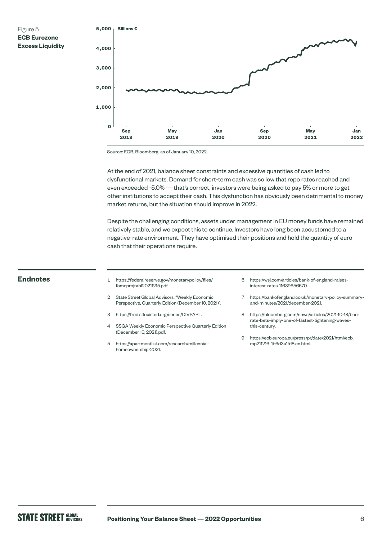

Source: ECB, Bloomberg, as of January 10, 2022.

At the end of 2021, balance sheet constraints and excessive quantities of cash led to dysfunctional markets. Demand for short-term cash was so low that repo rates reached and even exceeded -5.0% — that's correct, investors were being asked to pay 5% or more to get other institutions to accept their cash. This dysfunction has obviously been detrimental to money market returns, but the situation should improve in 2022.

Despite the challenging conditions, assets under management in EU money funds have remained relatively stable, and we expect this to continue. Investors have long been accustomed to a negative-rate environment. They have optimised their positions and hold the quantity of euro cash that their operations require.

- **Endnotes** <sup>1</sup> [https://federalreserve.gov/monetarypolicy/files/](https://www.federalreserve.gov/monetarypolicy/files/fomcprojtabl20211215.pdf) [fomcprojtabl20211215.pdf](https://www.federalreserve.gov/monetarypolicy/files/fomcprojtabl20211215.pdf).
	- 2 State Street Global Advisors, "Weekly Economic Perspective, Quarterly Edition (December 10, 2021)".
	- 3 h[ttps://fred.stlouisfed.org/series/CIVPART.](https://fred.stlouisfed.org/series/CIVPART)
	- 4 SSGA Weekly Economic Perspective Quarterly Edition (December 10, 2021).pdf.
	- 5 [https://apartmentlist.com/research/millennial](https://www.apartmentlist.com/research/millennial-homeownership-2021)[homeownership-2021](https://www.apartmentlist.com/research/millennial-homeownership-2021).
- 6 [https://wsj.com/articles/bank-of-england-raises](https://www.wsj.com/articles/bank-of-england-raises-interest-rates-11639656570)[interest-rates-11639656570](https://www.wsj.com/articles/bank-of-england-raises-interest-rates-11639656570).
- 7 [https://bankofengland.co.uk/monetary-policy-summary](https://www.bankofengland.co.uk/monetary-policy-summary-and-minutes/2021/december-2021)[and-minutes/2021/december-2021](https://www.bankofengland.co.uk/monetary-policy-summary-and-minutes/2021/december-2021).
- 8 [https://bloomberg.com/news/articles/2021-10-18/boe](https://bloomberg.com/news/articles/2021-10-18/boe-rate-bets-imply-one-of-fastest-tightening-waves-this-century)[rate-bets-imply-one-of-fastest-tightening-waves](https://bloomberg.com/news/articles/2021-10-18/boe-rate-bets-imply-one-of-fastest-tightening-waves-this-century)[this-century](https://bloomberg.com/news/articles/2021-10-18/boe-rate-bets-imply-one-of-fastest-tightening-waves-this-century).
- 9 [https://ecb.europa.eu/press/pr/date/2021/html/ecb.](https://ecb.europa.eu/press/pr/date/2021/html/ecb.mp211216~1b6d3a1fd8.en.html) [mp211216~1b6d3a1fd8.en.html.](https://ecb.europa.eu/press/pr/date/2021/html/ecb.mp211216~1b6d3a1fd8.en.html)